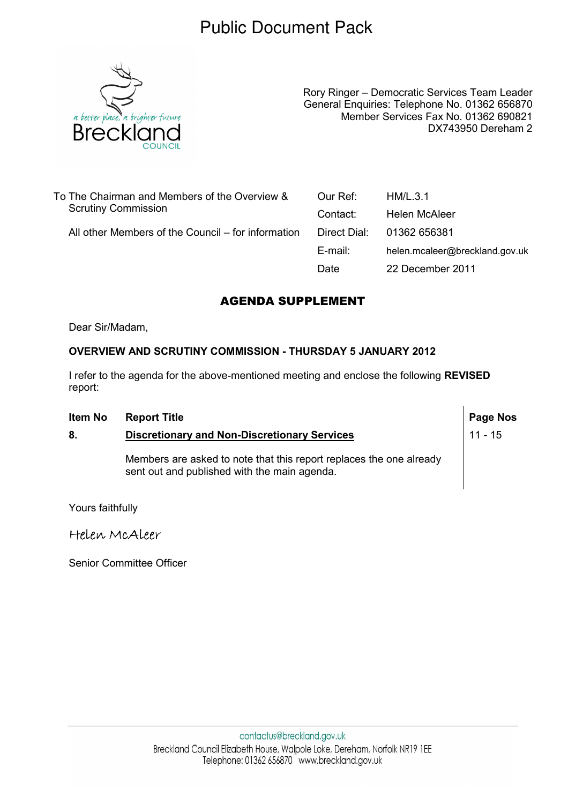## Public Document Pack



Rory Ringer – Democratic Services Team Leader General Enquiries: Telephone No. 01362 656870 Member Services Fax No. 01362 690821 DX743950 Dereham 2

 $\mathsf{l}$ 

| To The Chairman and Members of the Overview &<br><b>Scrutiny Commission</b> | Our Ref:     | HM/L.3.1                       |
|-----------------------------------------------------------------------------|--------------|--------------------------------|
|                                                                             | Contact:     | Helen McAleer                  |
| All other Members of the Council – for information                          | Direct Dial: | 01362 656381                   |
|                                                                             | E-mail:      | helen.mcaleer@breckland.gov.uk |
|                                                                             | Date         | 22 December 2011               |

## AGENDA SUPPLEMENT

Dear Sir/Madam,

## OVERVIEW AND SCRUTINY COMMISSION - THURSDAY 5 JANUARY 2012

I refer to the agenda for the above-mentioned meeting and enclose the following REVISED report:

| Item No | <b>Report Title</b>                                                                                                 | Page Nos  |
|---------|---------------------------------------------------------------------------------------------------------------------|-----------|
| 8.      | <b>Discretionary and Non-Discretionary Services</b>                                                                 | $11 - 15$ |
|         | Members are asked to note that this report replaces the one already<br>sent out and published with the main agenda. |           |

Yours faithfully

Helen McAleer

Senior Committee Officer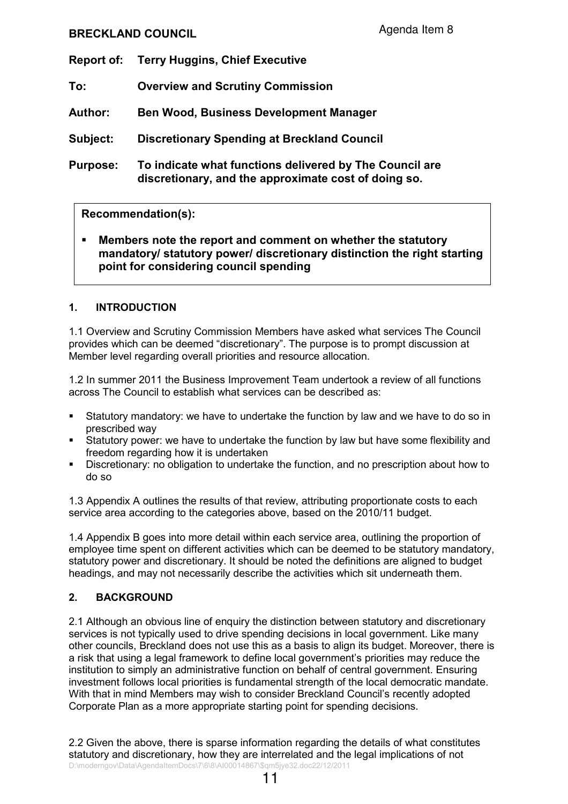## BRECKLAND COUNCIL

- Report of: Terry Huggins, Chief Executive
- To: Overview and Scrutiny Commission
- Author: Ben Wood, Business Development Manager

Subject: Discretionary Spending at Breckland Council

Purpose: To indicate what functions delivered by The Council are discretionary, and the approximate cost of doing so.

## Recommendation(s):

Members note the report and comment on whether the statutory mandatory/ statutory power/ discretionary distinction the right starting point for considering council spending

## 1. INTRODUCTION

1.1 Overview and Scrutiny Commission Members have asked what services The Council provides which can be deemed "discretionary". The purpose is to prompt discussion at Member level regarding overall priorities and resource allocation.

1.2 In summer 2011 the Business Improvement Team undertook a review of all functions across The Council to establish what services can be described as:

- Statutory mandatory: we have to undertake the function by law and we have to do so in prescribed way
- Statutory power: we have to undertake the function by law but have some flexibility and freedom regarding how it is undertaken
- § Discretionary: no obligation to undertake the function, and no prescription about how to do so

1.3 Appendix A outlines the results of that review, attributing proportionate costs to each service area according to the categories above, based on the 2010/11 budget.

1.4 Appendix B goes into more detail within each service area, outlining the proportion of employee time spent on different activities which can be deemed to be statutory mandatory, statutory power and discretionary. It should be noted the definitions are aligned to budget headings, and may not necessarily describe the activities which sit underneath them.

#### 2. BACKGROUND

2.1 Although an obvious line of enquiry the distinction between statutory and discretionary services is not typically used to drive spending decisions in local government. Like many other councils, Breckland does not use this as a basis to align its budget. Moreover, there is a risk that using a legal framework to define local government's priorities may reduce the institution to simply an administrative function on behalf of central government. Ensuring investment follows local priorities is fundamental strength of the local democratic mandate. With that in mind Members may wish to consider Breckland Council's recently adopted Corporate Plan as a more appropriate starting point for spending decisions.

D:\moderngov\Data\AgendaItemDocs\7\6\8\AI00014867\\$qm5jye32.doc22/12/2011 2.2 Given the above, there is sparse information regarding the details of what constitutes statutory and discretionary, how they are interrelated and the legal implications of not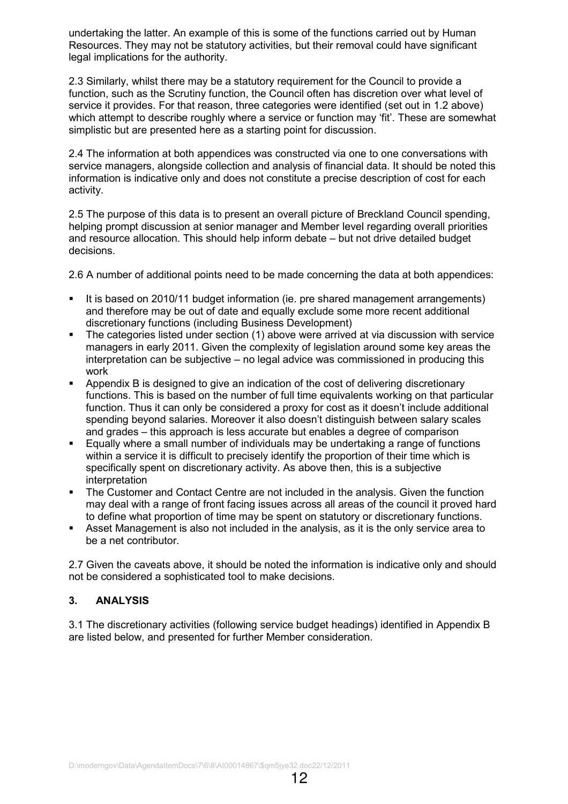undertaking the latter. An example of this is some of the functions carried out by Human Resources. They may not be statutory activities, but their removal could have significant legal implications for the authority.

2.3 Similarly, whilst there may be a statutory requirement for the Council to provide a function, such as the Scrutiny function, the Council often has discretion over what level of service it provides. For that reason, three categories were identified (set out in 1.2 above) which attempt to describe roughly where a service or function may 'fit'. These are somewhat simplistic but are presented here as a starting point for discussion.

2.4 The information at both appendices was constructed via one to one conversations with service managers, alongside collection and analysis of financial data. It should be noted this information is indicative only and does not constitute a precise description of cost for each activity.

2.5 The purpose of this data is to present an overall picture of Breckland Council spending, helping prompt discussion at senior manager and Member level regarding overall priorities and resource allocation. This should help inform debate – but not drive detailed budget decisions.

2.6 A number of additional points need to be made concerning the data at both appendices:

- It is based on 2010/11 budget information (ie. pre shared management arrangements) and therefore may be out of date and equally exclude some more recent additional discretionary functions (including Business Development)
- § The categories listed under section (1) above were arrived at via discussion with service managers in early 2011. Given the complexity of legislation around some key areas the interpretation can be subjective – no legal advice was commissioned in producing this work
- Appendix B is designed to give an indication of the cost of delivering discretionary functions. This is based on the number of full time equivalents working on that particular function. Thus it can only be considered a proxy for cost as it doesn't include additional spending beyond salaries. Moreover it also doesn't distinguish between salary scales and grades – this approach is less accurate but enables a degree of comparison
- Equally where a small number of individuals may be undertaking a range of functions within a service it is difficult to precisely identify the proportion of their time which is specifically spent on discretionary activity. As above then, this is a subjective interpretation
- The Customer and Contact Centre are not included in the analysis. Given the function may deal with a range of front facing issues across all areas of the council it proved hard to define what proportion of time may be spent on statutory or discretionary functions.
- Asset Management is also not included in the analysis, as it is the only service area to be a net contributor.

2.7 Given the caveats above, it should be noted the information is indicative only and should not be considered a sophisticated tool to make decisions.

## 3. ANALYSIS

3.1 The discretionary activities (following service budget headings) identified in Appendix B are listed below, and presented for further Member consideration.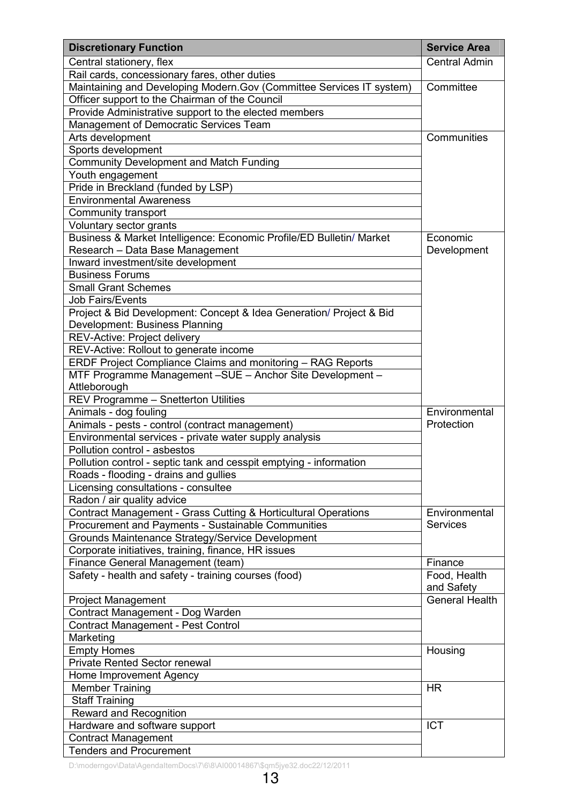| <b>Discretionary Function</b>                                                             | <b>Service Area</b>        |
|-------------------------------------------------------------------------------------------|----------------------------|
| Central stationery, flex                                                                  | <b>Central Admin</b>       |
| Rail cards, concessionary fares, other duties                                             |                            |
| Maintaining and Developing Modern.Gov (Committee Services IT system)                      | Committee                  |
| Officer support to the Chairman of the Council                                            |                            |
| Provide Administrative support to the elected members                                     |                            |
| Management of Democratic Services Team                                                    |                            |
| Arts development                                                                          | Communities                |
| Sports development                                                                        |                            |
| <b>Community Development and Match Funding</b>                                            |                            |
| Youth engagement                                                                          |                            |
| Pride in Breckland (funded by LSP)                                                        |                            |
| <b>Environmental Awareness</b>                                                            |                            |
| Community transport                                                                       |                            |
| Voluntary sector grants                                                                   |                            |
| Business & Market Intelligence: Economic Profile/ED Bulletin/ Market                      | Economic<br>Development    |
| Research - Data Base Management                                                           |                            |
| Inward investment/site development                                                        |                            |
| <b>Business Forums</b>                                                                    |                            |
| <b>Small Grant Schemes</b>                                                                |                            |
| <b>Job Fairs/Events</b>                                                                   |                            |
| Project & Bid Development: Concept & Idea Generation/ Project & Bid                       |                            |
| Development: Business Planning                                                            |                            |
| REV-Active: Project delivery                                                              |                            |
| REV-Active: Rollout to generate income                                                    |                            |
| ERDF Project Compliance Claims and monitoring - RAG Reports                               |                            |
| MTF Programme Management -SUE - Anchor Site Development -                                 |                            |
| Attleborough                                                                              |                            |
| <b>REV Programme - Snetterton Utilities</b>                                               |                            |
| Animals - dog fouling                                                                     | Environmental              |
| Animals - pests - control (contract management)                                           | Protection                 |
| Environmental services - private water supply analysis                                    |                            |
| Pollution control - asbestos                                                              |                            |
| Pollution control - septic tank and cesspit emptying - information                        |                            |
| Roads - flooding - drains and gullies                                                     |                            |
| Licensing consultations - consultee                                                       |                            |
| Radon / air quality advice                                                                |                            |
| Contract Management - Grass Cutting & Horticultural Operations                            | Environmental              |
| Procurement and Payments - Sustainable Communities                                        | <b>Services</b>            |
| Grounds Maintenance Strategy/Service Development                                          |                            |
| Corporate initiatives, training, finance, HR issues                                       |                            |
| Finance General Management (team)<br>Safety - health and safety - training courses (food) | Finance                    |
|                                                                                           | Food, Health<br>and Safety |
| <b>Project Management</b>                                                                 | <b>General Health</b>      |
| Contract Management - Dog Warden                                                          |                            |
| Contract Management - Pest Control                                                        |                            |
| Marketing                                                                                 |                            |
| <b>Empty Homes</b>                                                                        | Housing                    |
| <b>Private Rented Sector renewal</b>                                                      |                            |
| Home Improvement Agency                                                                   |                            |
| <b>Member Training</b>                                                                    | <b>HR</b>                  |
| <b>Staff Training</b>                                                                     |                            |
| Reward and Recognition                                                                    |                            |
| Hardware and software support                                                             | <b>ICT</b>                 |
| Contract Management                                                                       |                            |
| <b>Tenders and Procurement</b>                                                            |                            |

D:\moderngov\Data\AgendaItemDocs\7\6\8\AI00014867\\$qm5jye32.doc22/12/2011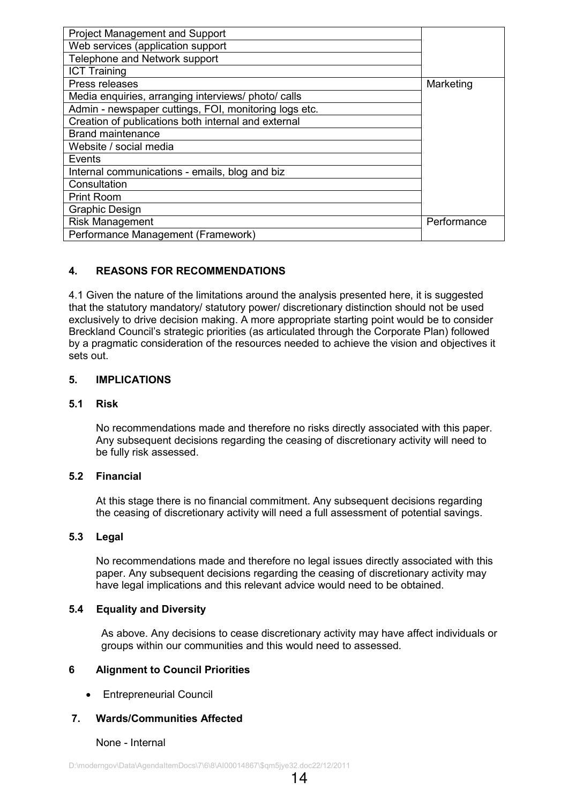| <b>Project Management and Support</b>                 |             |
|-------------------------------------------------------|-------------|
| Web services (application support                     |             |
| Telephone and Network support                         |             |
| <b>ICT Training</b>                                   |             |
| Press releases                                        | Marketing   |
| Media enquiries, arranging interviews/ photo/ calls   |             |
| Admin - newspaper cuttings, FOI, monitoring logs etc. |             |
| Creation of publications both internal and external   |             |
| <b>Brand maintenance</b>                              |             |
| Website / social media                                |             |
| Events                                                |             |
| Internal communications - emails, blog and biz        |             |
| Consultation                                          |             |
| <b>Print Room</b>                                     |             |
| <b>Graphic Design</b>                                 |             |
| <b>Risk Management</b>                                | Performance |
| Performance Management (Framework)                    |             |

## 4. REASONS FOR RECOMMENDATIONS

4.1 Given the nature of the limitations around the analysis presented here, it is suggested that the statutory mandatory/ statutory power/ discretionary distinction should not be used exclusively to drive decision making. A more appropriate starting point would be to consider Breckland Council's strategic priorities (as articulated through the Corporate Plan) followed by a pragmatic consideration of the resources needed to achieve the vision and objectives it sets out.

#### 5. IMPLICATIONS

#### 5.1 Risk

No recommendations made and therefore no risks directly associated with this paper. Any subsequent decisions regarding the ceasing of discretionary activity will need to be fully risk assessed.

#### 5.2 Financial

At this stage there is no financial commitment. Any subsequent decisions regarding the ceasing of discretionary activity will need a full assessment of potential savings.

#### 5.3 Legal

No recommendations made and therefore no legal issues directly associated with this paper. Any subsequent decisions regarding the ceasing of discretionary activity may have legal implications and this relevant advice would need to be obtained.

#### 5.4 Equality and Diversity

As above. Any decisions to cease discretionary activity may have affect individuals or groups within our communities and this would need to assessed.

#### 6 Alignment to Council Priorities

• Entrepreneurial Council

#### 7. Wards/Communities Affected

#### None - Internal